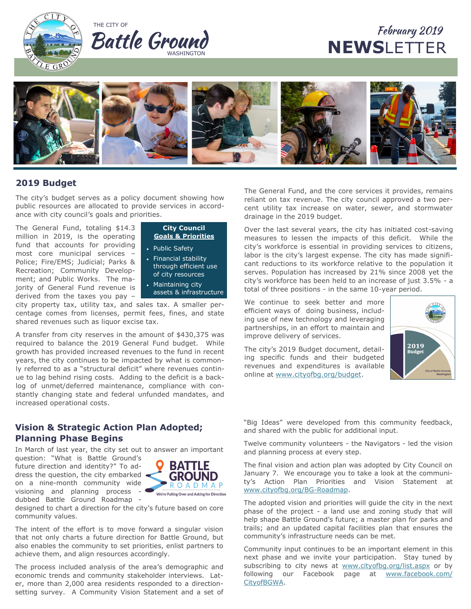



# February 2019 **NEWS**LETTER



# **2019 Budget**

The city's budget serves as a policy document showing how public resources are allocated to provide services in accordance with city council's goals and priorities.

The General Fund, totaling \$14.3 million in 2019, is the operating fund that accounts for providing most core municipal services – Police; Fire/EMS; Judicial; Parks & Recreation; Community Development; and Public Works. The majority of General Fund revenue is derived from the taxes you pay –



- Public Safety
- Financial stability through efficient use of city resources
- Maintaining city assets & infrastructure

city property tax, utility tax, and sales tax. A smaller percentage comes from licenses, permit fees, fines, and state shared revenues such as liquor excise tax.

A transfer from city reserves in the amount of \$430,375 was required to balance the 2019 General Fund budget. While growth has provided increased revenues to the fund in recent years, the city continues to be impacted by what is commonly referred to as a "structural deficit" where revenues continue to lag behind rising costs. Adding to the deficit is a backlog of unmet/deferred maintenance, compliance with constantly changing state and federal unfunded mandates, and increased operational costs.

# **Vision & Strategic Action Plan Adopted; Planning Phase Begins**

In March of last year, the city set out to answer an important

question: "What is Battle Ground's future direction and identity?" To address the question, the city embarked on a nine-month community wide visioning and planning process dubbed Battle Ground Roadmap -



designed to chart a direction for the city's future based on core community values.

The intent of the effort is to move forward a singular vision that not only charts a future direction for Battle Ground, but also enables the community to set priorities, enlist partners to achieve them, and align resources accordingly.

The process included analysis of the area's demographic and economic trends and community stakeholder interviews. Later, more than 2,000 area residents responded to a directionsetting survey. A Community Vision Statement and a set of

The General Fund, and the core services it provides, remains reliant on tax revenue. The city council approved a two percent utility tax increase on water, sewer, and stormwater drainage in the 2019 budget.

Over the last several years, the city has initiated cost-saving measures to lessen the impacts of this deficit. While the city's workforce is essential in providing services to citizens, labor is the city's largest expense. The city has made significant reductions to its workforce relative to the population it serves. Population has increased by 21% since 2008 yet the city's workforce has been held to an increase of just 3.5% - a total of three positions - in the same 10-year period.

We continue to seek better and more efficient ways of doing business, including use of new technology and leveraging partnerships, in an effort to maintain and improve delivery of services.

The city's 2019 Budget document, detailing specific funds and their budgeted revenues and expenditures is available online at [www.cityofbg.org/budget.](https://www.cityofbg.org/164/Budget)



"Big Ideas" were developed from this community feedback, and shared with the public for additional input.

Twelve community volunteers - the Navigators - led the vision and planning process at every step.

The final vision and action plan was adopted by City Council on January 7. We encourage you to take a look at the community's Action Plan Priorities and Vision Statement at [www.cityofbg.org/BG](https://www.cityofbg.org/BG-Roadmap)-Roadmap.

The adopted vision and priorities will guide the city in the next phase of the project - a land use and zoning study that will help shape Battle Ground's future; a master plan for parks and trails; and an updated capital facilities plan that ensures the community's infrastructure needs can be met.

Community input continues to be an important element in this next phase and we invite your participation. Stay tuned by subscribing to city news at [www.cityofbg.org/list.aspx](https://www.cityofbg.org/list.aspx) or by following our Facebook page at [www.facebook.com/](https://www.facebook.com/CityofBGWA) [CityofBGWA.](https://www.facebook.com/CityofBGWA)